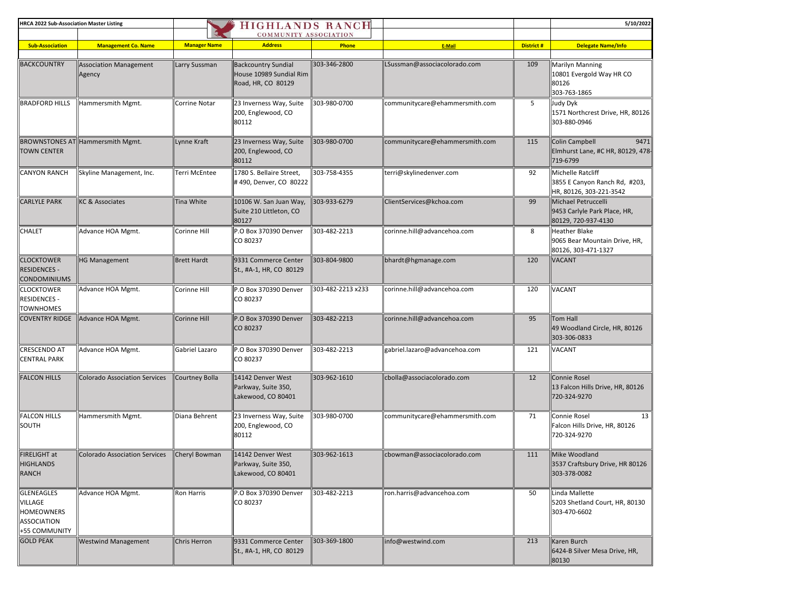| <b>HRCA 2022 Sub-Association Master Listing</b>                            |                                         |                     | <b>HIGHLANDS RANCH</b>                                                      |                   |                                |                  | 5/10/2022                                                                     |
|----------------------------------------------------------------------------|-----------------------------------------|---------------------|-----------------------------------------------------------------------------|-------------------|--------------------------------|------------------|-------------------------------------------------------------------------------|
|                                                                            |                                         |                     | COMMUNITY ASSOCIATION                                                       |                   |                                |                  |                                                                               |
| <b>Sub-Association</b>                                                     | <b>Management Co. Name</b>              | <b>Manager Name</b> | <b>Address</b>                                                              | Phone             | E-Mail                         | <b>District#</b> | <b>Delegate Name/Info</b>                                                     |
|                                                                            |                                         |                     |                                                                             |                   |                                |                  |                                                                               |
| <b>BACKCOUNTRY</b>                                                         | <b>Association Management</b><br>Agency | Larry Sussman       | <b>Backcountry Sundial</b><br>House 10989 Sundial Rim<br>Road, HR, CO 80129 | 303-346-2800      | LSussman@associacolorado.com   | 109              | Marilyn Manning<br>10801 Evergold Way HR CO<br>80126<br>303-763-1865          |
| <b>BRADFORD HILLS</b>                                                      | Hammersmith Mgmt.                       | Corrine Notar       | 23 Inverness Way, Suite<br>200, Englewood, CO<br>80112                      | 303-980-0700      | communitycare@ehammersmith.com | 5                | Judy Dyk<br>1571 Northcrest Drive, HR, 80126<br>303-880-0946                  |
| <b>TOWN CENTER</b>                                                         | BROWNSTONES AT Hammersmith Mgmt.        | Lynne Kraft         | 23 Inverness Way, Suite<br>200, Englewood, CO<br>80112                      | 303-980-0700      | communitycare@ehammersmith.com | 115              | 9471<br>Colin Campbell<br>Elmhurst Lane, #C HR, 80129, 478-<br>719-6799       |
| <b>CANYON RANCH</b>                                                        | Skyline Management, Inc.                | Terri McEntee       | 1780 S. Bellaire Street,<br>#490, Denver, CO 80222                          | 303-758-4355      | terri@skylinedenver.com        | 92               | Michelle Ratcliff<br>3855 E Canyon Ranch Rd, #203,<br>HR, 80126, 303-221-3542 |
| <b>CARLYLE PARK</b>                                                        | <b>KC &amp; Associates</b>              | <b>Tina White</b>   | 10106 W. San Juan Way,<br>Suite 210 Littleton, CO<br>80127                  | 303-933-6279      | ClientServices@kchoa.com       | 99               | Michael Petruccelli<br>9453 Carlyle Park Place, HR,<br>80129, 720-937-4130    |
| CHALET                                                                     | Advance HOA Mgmt.                       | Corinne Hill        | P.O Box 370390 Denver<br>CO 80237                                           | 303-482-2213      | corinne.hill@advancehoa.com    | 8                | Heather Blake<br>9065 Bear Mountain Drive, HR,<br>80126, 303-471-1327         |
| <b>CLOCKTOWER</b><br><b>RESIDENCES -</b><br><b>CONDOMINIUMS</b>            | HG Management                           | <b>Brett Hardt</b>  | 9331 Commerce Center<br>St., #A-1, HR, CO 80129                             | 303-804-9800      | bhardt@hgmanage.com            | 120              | <b>VACANT</b>                                                                 |
| <b>CLOCKTOWER</b><br><b>RESIDENCES -</b><br><b>TOWNHOMES</b>               | Advance HOA Mgmt.                       | Corinne Hill        | P.O Box 370390 Denver<br>CO 80237                                           | 303-482-2213 x233 | corinne.hill@advancehoa.com    | 120              | VACANT                                                                        |
| <b>COVENTRY RIDGE</b>                                                      | Advance HOA Mgmt.                       | Corinne Hill        | P.O Box 370390 Denver<br>CO 80237                                           | 303-482-2213      | corinne.hill@advancehoa.com    | 95               | <b>Tom Hall</b><br>49 Woodland Circle, HR, 80126<br>303-306-0833              |
| <b>CRESCENDO AT</b><br><b>CENTRAL PARK</b>                                 | Advance HOA Mgmt.                       | Gabriel Lazaro      | P.O Box 370390 Denver<br>CO 80237                                           | 303-482-2213      | gabriel.lazaro@advancehoa.com  | 121              | VACANT                                                                        |
| <b>FALCON HILLS</b>                                                        | <b>Colorado Association Services</b>    | Courtney Bolla      | 14142 Denver West<br>Parkway, Suite 350,<br>Lakewood, CO 80401              | 303-962-1610      | cbolla@associacolorado.com     | 12               | Connie Rosel<br>13 Falcon Hills Drive, HR, 80126<br>720-324-9270              |
| <b>FALCON HILLS</b><br>SOUTH                                               | Hammersmith Mgmt.                       | Diana Behrent       | 23 Inverness Way, Suite<br>200, Englewood, CO<br>80112                      | 303-980-0700      | communitycare@ehammersmith.com | 71               | Connie Rosel<br>13<br>Falcon Hills Drive, HR, 80126<br>720-324-9270           |
| FIRELIGHT at<br><b>HIGHLANDS</b><br>RANCH                                  | Colorado Association Services           | Cheryl Bowman       | 14142 Denver West<br>Parkway, Suite 350,<br>Lakewood, CO 80401              | 303-962-1613      | cbowman@associacolorado.com    | 111              | Mike Woodland<br>3537 Craftsbury Drive, HR 80126<br>303-378-0082              |
| GLENEAGLES<br>VILLAGE<br><b>HOMEOWNERS</b><br>ASSOCIATION<br>+55 COMMUNITY | Advance HOA Mgmt.                       | <b>Ron Harris</b>   | P.O Box 370390 Denver<br>CO 80237                                           | 303-482-2213      | ron.harris@advancehoa.com      | 50               | Linda Mallette<br>5203 Shetland Court, HR, 80130<br>303-470-6602              |
| <b>GOLD PEAK</b>                                                           | <b>Westwind Management</b>              | Chris Herron        | 9331 Commerce Center<br>St., #A-1, HR, CO 80129                             | 303-369-1800      | info@westwind.com              | 213              | Karen Burch<br>6424-B Silver Mesa Drive, HR,<br>80130                         |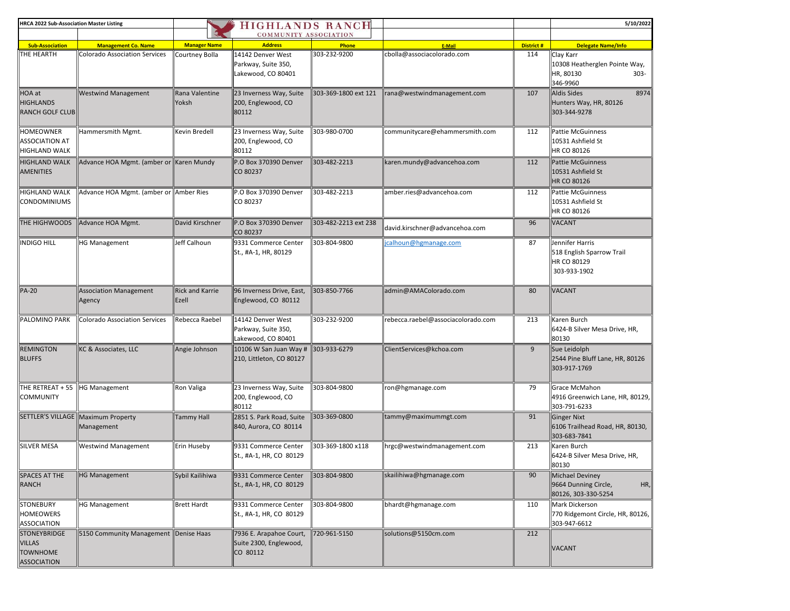| <b>HRCA 2022 Sub-Association Master Listing</b>                 |                                                  |                                 | <b>HIGHLANDS RANCH</b>                                         |                      |                                    |                   | 5/10/2022                                                                      |
|-----------------------------------------------------------------|--------------------------------------------------|---------------------------------|----------------------------------------------------------------|----------------------|------------------------------------|-------------------|--------------------------------------------------------------------------------|
|                                                                 |                                                  |                                 | <b>COMMUNITY ASSOCIATION</b>                                   |                      |                                    |                   |                                                                                |
| <b>Sub-Association</b>                                          | <b>Management Co. Name</b>                       | <b>Manager Name</b>             | <b>Address</b>                                                 | Phone                | E-Mail                             | <b>District #</b> | <b>Delegate Name/Info</b>                                                      |
| THE HEARTH                                                      | <b>Colorado Association Services</b>             | Courtney Bolla                  | 14142 Denver West<br>Parkway, Suite 350,<br>Lakewood, CO 80401 | 303-232-9200         | cbolla@associacolorado.com         | 114               | Clay Karr<br>10308 Heatherglen Pointe Way,<br>HR, 80130<br>$303 -$<br>346-9960 |
| HOA at<br><b>HIGHLANDS</b><br><b>RANCH GOLF CLUB</b>            | <b>Westwind Management</b>                       | Rana Valentine<br>Yoksh         | 23 Inverness Way, Suite<br>200, Englewood, CO<br>80112         | 303-369-1800 ext 121 | rana@westwindmanagement.com        | 107               | 8974<br>Aldis Sides<br>Hunters Way, HR, 80126<br>303-344-9278                  |
| HOMEOWNER<br>ASSOCIATION AT<br>HIGHLAND WALK                    | Hammersmith Mgmt.                                | Kevin Bredell                   | 23 Inverness Way, Suite<br>200, Englewood, CO<br>80112         | 303-980-0700         | communitycare@ehammersmith.com     | 112               | <b>Pattie McGuinness</b><br>10531 Ashfield St<br>HR CO 80126                   |
| <b>HIGHLAND WALK</b><br><b>AMENITIES</b>                        | Advance HOA Mgmt. (amber or   Karen Mundy        |                                 | P.O Box 370390 Denver<br>CO 80237                              | 303-482-2213         | karen.mundy@advancehoa.com         | 112               | <b>Pattie McGuinness</b><br>10531 Ashfield St<br>HR CO 80126                   |
| <b>HIGHLAND WALK</b><br><b>CONDOMINIUMS</b>                     | Advance HOA Mgmt. (amber or   Amber Ries         |                                 | P.O Box 370390 Denver<br>CO 80237                              | 303-482-2213         | amber.ries@advancehoa.com          | 112               | <b>Pattie McGuinness</b><br>10531 Ashfield St<br>HR CO 80126                   |
| <b>THE HIGHWOODS</b>                                            | Advance HOA Mgmt.                                | David Kirschner                 | P.O Box 370390 Denver<br>CO 80237                              | 303-482-2213 ext 238 | david.kirschner@advancehoa.com     | 96                | <b>VACANT</b>                                                                  |
| INDIGO HILL                                                     | <b>HG Management</b>                             | Jeff Calhoun                    | 9331 Commerce Center<br>St., #A-1, HR, 80129                   | 303-804-9800         | calhoun@hgmanage.com               | 87                | Jennifer Harris<br>518 English Sparrow Trail<br>HR CO 80129<br>303-933-1902    |
| <b>PA-20</b>                                                    | <b>Association Management</b><br>Agency          | <b>Rick and Karrie</b><br>Ezell | 96 Inverness Drive, East,<br>Englewood, CO 80112               | 303-850-7766         | admin@AMAColorado.com              | 80                | <b>VACANT</b>                                                                  |
| PALOMINO PARK                                                   | Colorado Association Services                    | Rebecca Raebel                  | 14142 Denver West<br>Parkway, Suite 350,<br>Lakewood, CO 80401 | 303-232-9200         | rebecca.raebel@associacolorado.com | 213               | Karen Burch<br>6424-B Silver Mesa Drive, HR,<br>80130                          |
| <b>REMINGTON</b><br><b>BLUFFS</b>                               | KC & Associates, LLC                             | Angie Johnson                   | 10106 W San Juan Way #<br>210, Littleton, CO 80127             | 303-933-6279         | ClientServices@kchoa.com           | $\overline{9}$    | Sue Leidolph<br>2544 Pine Bluff Lane, HR, 80126<br>303-917-1769                |
| THE RETREAT + 55<br><b>COMMUNITY</b>                            | <b>HG Management</b>                             | Ron Valiga                      | 23 Inverness Way, Suite<br>200, Englewood, CO<br>80112         | 303-804-9800         | ron@hgmanage.com                   | 79                | Grace McMahon<br>4916 Greenwich Lane, HR, 80129,<br>303-791-6233               |
|                                                                 | SETTLER'S VILLAGE Maximum Property<br>Management | Tammy Hall                      | 2851 S. Park Road, Suite<br>840, Aurora, CO 80114              | 303-369-0800         | tammy@maximummgt.com               | 91                | Ginger Nixt<br>6106 Trailhead Road, HR, 80130,<br>303-683-7841                 |
| <b>SILVER MESA</b>                                              | <b>Westwind Management</b>                       | Erin Huseby                     | 9331 Commerce Center<br>St., #A-1, HR, CO 80129                | 303-369-1800 x118    | hrgc@westwindmanagement.com        | 213               | Karen Burch<br>6424-B Silver Mesa Drive, HR,<br>80130                          |
| SPACES AT THE<br>RANCH                                          | <b>HG Management</b>                             | Sybil Kailihiwa                 | 9331 Commerce Center<br>St., #A-1, HR, CO 80129                | 303-804-9800         | skailihiwa@hgmanage.com            | 90                | Michael Deviney<br>9664 Dunning Circle,<br>HR,<br>80126, 303-330-5254          |
| STONEBURY<br>HOMEOWERS<br>ASSOCIATION                           | <b>HG Management</b>                             | <b>Brett Hardt</b>              | 9331 Commerce Center<br>St., #A-1, HR, CO 80129                | 303-804-9800         | bhardt@hgmanage.com                | 110               | Mark Dickerson<br>770 Ridgemont Circle, HR, 80126,<br>303-947-6612             |
| STONEYBRIDGE<br><b>VILLAS</b><br><b>TOWNHOME</b><br>ASSOCIATION | 5150 Community Management Denise Haas            |                                 | 7936 E. Arapahoe Court,<br>Suite 2300, Englewood,<br>CO 80112  | 720-961-5150         | solutions@5150cm.com               | 212               | <b>VACANT</b>                                                                  |